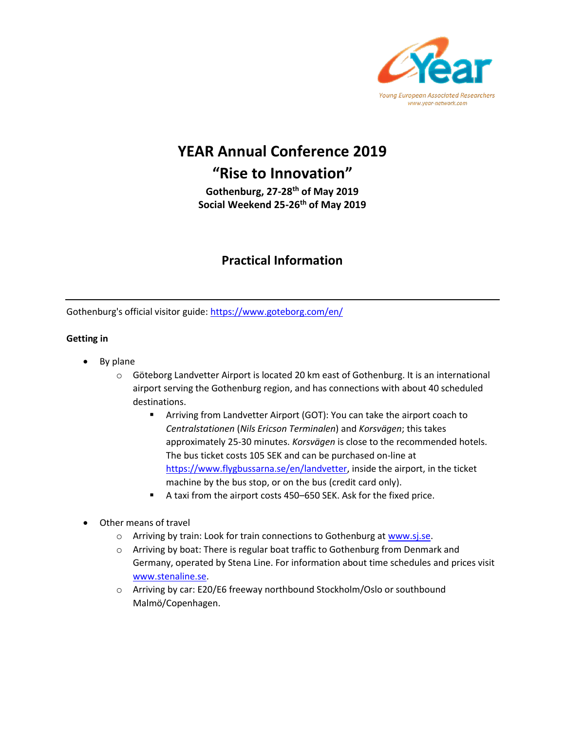

# **YEAR Annual Conference 2019 "Rise to Innovation"**

**Gothenburg, 27-28th of May 2019 Social Weekend 25-26th of May 2019**

# **Practical Information**

Gothenburg's official visitor guide:<https://www.goteborg.com/en/>

## **Getting in**

- By plane
	- o Göteborg Landvetter Airport is located 20 km east of Gothenburg. It is an international airport serving the Gothenburg region, and has connections with about 40 scheduled destinations.
		- Arriving from Landvetter Airport (GOT): You can take the airport coach to *Centralstationen* (*Nils Ericson Terminalen*) and *Korsvägen*; this takes approximately 25-30 minutes. *Korsvägen* is close to the recommended hotels. The bus ticket costs 105 SEK and can be purchased on-line at [https://www.flygbussarna.se/en/landvetter,](https://www.flygbussarna.se/en/landvetter) inside the airport, in the ticket machine by the bus stop, or on the bus (credit card only).
		- A taxi from the airport costs 450–650 SEK. Ask for the fixed price.
- Other means of travel
	- o Arriving by train: Look for train connections to Gothenburg a[t www.sj.se.](http://www.sj.se/)
	- o Arriving by boat: There is regular boat traffic to Gothenburg from Denmark and Germany, operated by Stena Line. For information about time schedules and prices visit [www.stenaline.se.](http://www.stenaline.se/)
	- o Arriving by car: E20/E6 freeway northbound Stockholm/Oslo or southbound Malmö/Copenhagen.